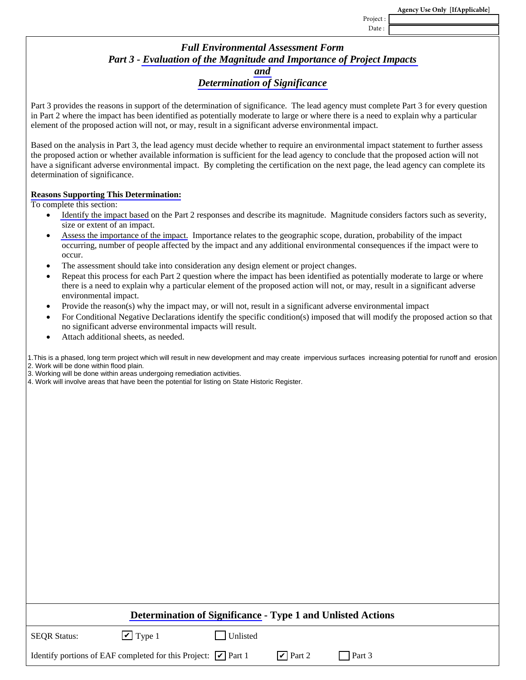Project : Date :

## *Full Environmental Assessment Form Part 3 - [Evaluation of the Magnitude and Importance of Project Impacts](http://www.dec.ny.gov/permits/91818.html)  [and](http://www.dec.ny.gov/permits/91818.html)  [Determination of Significance](http://www.dec.ny.gov/permits/91818.html)*

Part 3 provides the reasons in support of the determination of significance. The lead agency must complete Part 3 for every question in Part 2 where the impact has been identified as potentially moderate to large or where there is a need to explain why a particular element of the proposed action will not, or may, result in a significant adverse environmental impact.

Based on the analysis in Part 3, the lead agency must decide whether to require an environmental impact statement to further assess the proposed action or whether available information is sufficient for the lead agency to conclude that the proposed action will not have a significant adverse environmental impact. By completing the certification on the next page, the lead agency can complete its determination of significance.

## **[Reasons Supporting This Determination:](http://www.dec.ny.gov/permits/91824.html)**

To complete this section:

- [Identify the impact based](http://www.dec.ny.gov/permits/91829.html) on the Part 2 responses and describe its magnitude. Magnitude considers factors such as severity, size or extent of an impact.
- [Assess the importance of the impact.](http://www.dec.ny.gov/permits/91829.html) Importance relates to the geographic scope, duration, probability of the impact occurring, number of people affected by the impact and any additional environmental consequences if the impact were to occur.
- The assessment should take into consideration any design element or project changes.
- Repeat this process for each Part 2 question where the impact has been identified as potentially moderate to large or where there is a need to explain why a particular element of the proposed action will not, or may, result in a significant adverse environmental impact.
- Provide the reason(s) why the impact may, or will not, result in a significant adverse environmental impact
- For Conditional Negative Declarations identify the specific condition(s) imposed that will modify the proposed action so that no significant adverse environmental impacts will result.
- Attach additional sheets, as needed.

1.This is a phased, long term project which will result in new development and may create impervious surfaces increasing potential for runoff and erosion 2. Work will be done within flood plain.

3. Working will be done within areas undergoing remediation activities.

4. Work will involve areas that have been the potential for listing on State Historic Register.

| <b>Determination of Significance - Type 1 and Unlisted Actions</b>               |                        |          |                        |        |  |
|----------------------------------------------------------------------------------|------------------------|----------|------------------------|--------|--|
| <b>SEOR Status:</b>                                                              | $\triangledown$ Type 1 | Unlisted |                        |        |  |
| Identify portions of EAF completed for this Project: $\boxed{\mathbf{v}}$ Part 1 |                        |          | $\triangledown$ Part 2 | Part 3 |  |